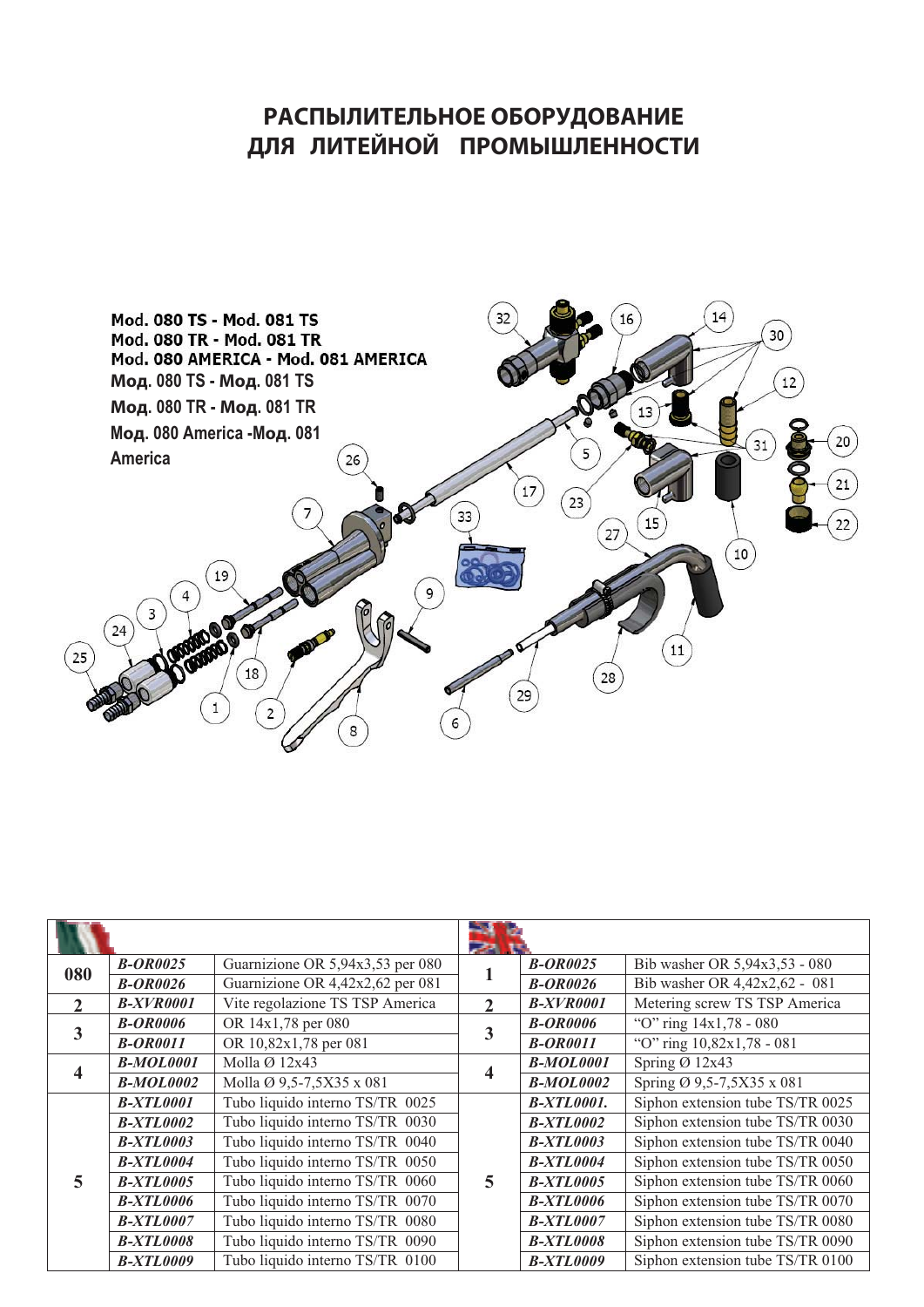## РАСПЫЛИТЕЛЬНОЕ ОБОРУДОВАНИЕ **ɬɳʇ ɳɰɺɭɱɵɶɱ ɷɸɶɴʃʀɳɭɵɵɶɹɺɰ**



| 080          | <b>B-OR0025</b>  | Guarnizione OR 5,94x3,53 per 080 |                | <b>B-OR0025</b>   | Bib washer OR 5,94x3,53 - 080    |
|--------------|------------------|----------------------------------|----------------|-------------------|----------------------------------|
|              | <b>B-OR0026</b>  | Guarnizione OR 4,42x2,62 per 081 |                | <b>B-OR0026</b>   | Bib washer OR 4,42x2,62 - 081    |
| $\mathbf{2}$ | <b>B-XVR0001</b> | Vite regolazione TS TSP America  | $\overline{2}$ | <b>B-XVR0001</b>  | Metering screw TS TSP America    |
| 3            | <b>B-OR0006</b>  | OR 14x1,78 per 080               | 3              | <b>B-OR0006</b>   | "O" ring $14x1,78 - 080$         |
|              | <b>B-OR0011</b>  | OR 10,82x1,78 per 081            |                | <b>B-OR0011</b>   | "O" ring 10,82x1,78 - 081        |
|              | <b>B-MOL0001</b> | Molla $\varnothing$ 12x43        |                | <b>B-MOL0001</b>  | Spring $\varnothing$ 12x43       |
|              | <b>B-MOL0002</b> | Molla Ø 9,5-7,5X35 x 081         |                | <b>B-MOL0002</b>  | Spring Ø 9,5-7,5X35 x 081        |
|              | <b>B-XTL0001</b> | Tubo liquido interno TS/TR 0025  |                | <b>B-XTL0001.</b> | Siphon extension tube TS/TR 0025 |
|              | <b>B-XTL0002</b> | Tubo liquido interno TS/TR 0030  | 5              | <b>B-XTL0002</b>  | Siphon extension tube TS/TR 0030 |
|              | <b>B-XTL0003</b> | Tubo liquido interno TS/TR 0040  |                | <b>B-XTL0003</b>  | Siphon extension tube TS/TR 0040 |
|              | <b>B-XTL0004</b> | Tubo liquido interno TS/TR 0050  |                | <b>B-XTL0004</b>  | Siphon extension tube TS/TR 0050 |
| 5            | <b>B-XTL0005</b> | Tubo liquido interno TS/TR 0060  |                | <b>B-XTL0005</b>  | Siphon extension tube TS/TR 0060 |
|              | <b>B-XTL0006</b> | Tubo liquido interno TS/TR 0070  |                | <b>B-XTL0006</b>  | Siphon extension tube TS/TR 0070 |
|              | <b>B-XTL0007</b> | Tubo liquido interno TS/TR 0080  |                | <b>B-XTL0007</b>  | Siphon extension tube TS/TR 0080 |
|              | <b>B-XTL0008</b> | Tubo liquido interno TS/TR 0090  |                | <b>B-XTL0008</b>  | Siphon extension tube TS/TR 0090 |
|              | <b>B-XTL0009</b> | Tubo liquido interno TS/TR 0100  |                | <b>B-XTL0009</b>  | Siphon extension tube TS/TR 0100 |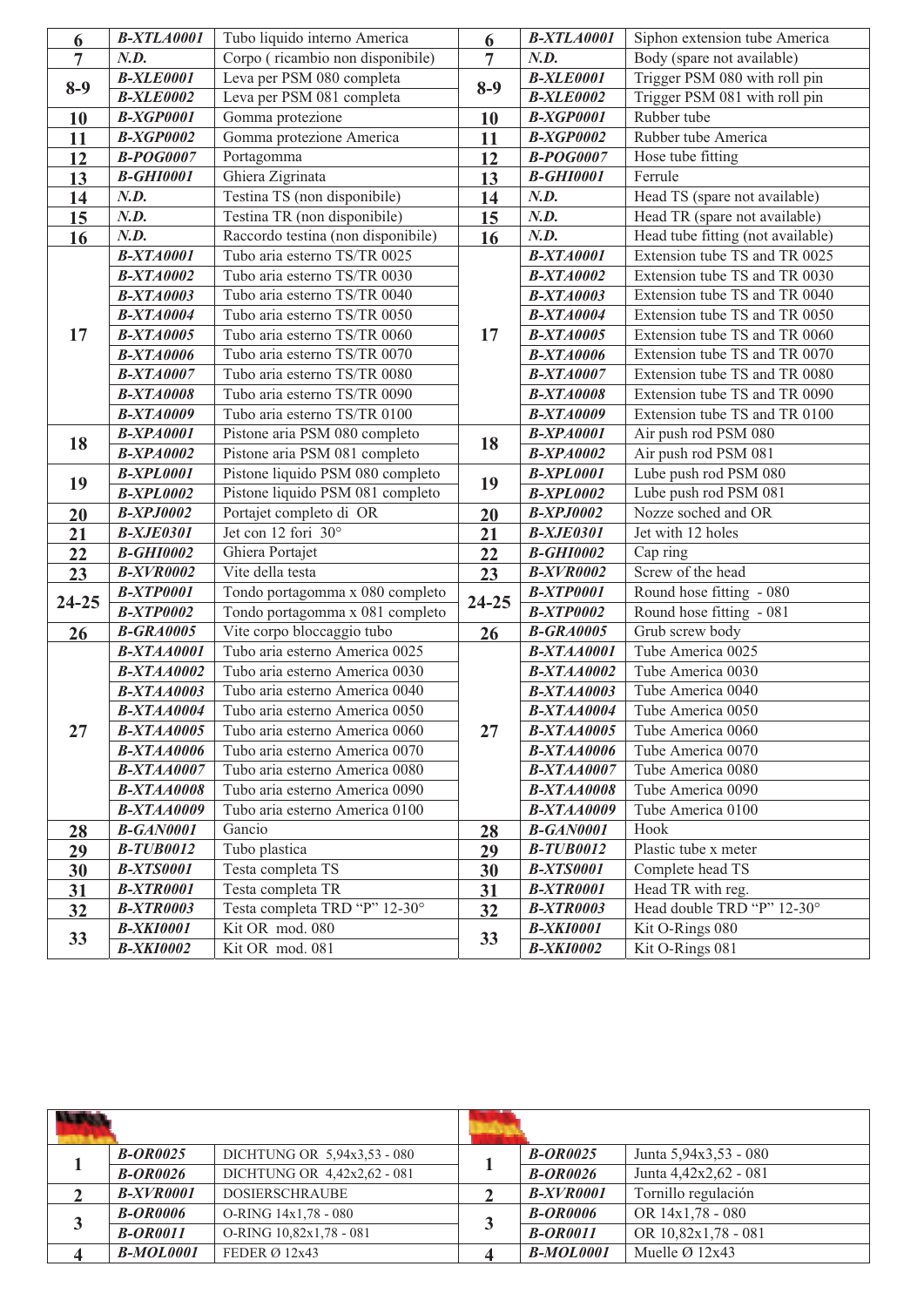| 6              | <b>B-XTLA0001</b> | Tubo liquido interno America       | $\boldsymbol{6}$ | <b>B-XTLA0001</b> | Siphon extension tube America     |
|----------------|-------------------|------------------------------------|------------------|-------------------|-----------------------------------|
| $\overline{7}$ | N.D.              | Corpo (ricambio non disponibile)   | $\overline{7}$   | N.D.              | Body (spare not available)        |
| $8-9$          | <b>B-XLE0001</b>  | Leva per PSM 080 completa          | $8-9$            | <b>B-XLE0001</b>  | Trigger PSM 080 with roll pin     |
|                | <b>B-XLE0002</b>  | Leva per PSM 081 completa          |                  | <b>B-XLE0002</b>  | Trigger PSM 081 with roll pin     |
| 10             | <b>B-XGP0001</b>  | Gomma protezione                   | 10               | <b>B-XGP0001</b>  | Rubber tube                       |
| 11             | <b>B-XGP0002</b>  | Gomma protezione America           | 11               | <b>B-XGP0002</b>  | Rubber tube America               |
| 12             | <b>B-POG0007</b>  | Portagomma                         | 12               | <b>B-POG0007</b>  | Hose tube fitting                 |
| 13             | <b>B-GHI0001</b>  | Ghiera Zigrinata                   | 13               | <b>B-GHI0001</b>  | Ferrule                           |
| 14             | N.D.              | Testina TS (non disponibile)       | 14               | N.D.              | Head TS (spare not available)     |
| 15             | N.D.              | Testina TR (non disponibile)       | 15               | N.D.              | Head TR (spare not available)     |
| 16             | N.D.              | Raccordo testina (non disponibile) | 16               | N.D.              | Head tube fitting (not available) |
|                | <b>B-XTA0001</b>  | Tubo aria esterno TS/TR 0025       |                  | <b>B-XTA0001</b>  | Extension tube TS and TR 0025     |
|                | <b>B-XTA0002</b>  | Tubo aria esterno TS/TR 0030       |                  | <b>B-XTA0002</b>  | Extension tube TS and TR 0030     |
|                | <b>B-XTA0003</b>  | Tubo aria esterno TS/TR 0040       |                  | <b>B-XTA0003</b>  | Extension tube TS and TR 0040     |
|                | <b>B-XTA0004</b>  | Tubo aria esterno TS/TR 0050       |                  | <b>B-XTA0004</b>  | Extension tube TS and TR 0050     |
| 17             | <b>B-XTA0005</b>  | Tubo aria esterno TS/TR 0060       | 17               | <b>B-XTA0005</b>  | Extension tube TS and TR 0060     |
|                | <b>B-XTA0006</b>  | Tubo aria esterno TS/TR 0070       |                  | <b>B-XTA0006</b>  | Extension tube TS and TR 0070     |
|                | <b>B-XTA0007</b>  | Tubo aria esterno TS/TR 0080       |                  | <b>B-XTA0007</b>  | Extension tube TS and TR 0080     |
|                | <b>B-XTA0008</b>  | Tubo aria esterno TS/TR 0090       |                  | <b>B-XTA0008</b>  | Extension tube TS and TR 0090     |
|                | <b>B-XTA0009</b>  | Tubo aria esterno TS/TR 0100       |                  | <b>B-XTA0009</b>  | Extension tube TS and TR 0100     |
|                | <b>B-XPA0001</b>  | Pistone aria PSM 080 completo      |                  | <b>B-XPA0001</b>  | Air push rod PSM 080              |
| 18             | <b>B-XPA0002</b>  | Pistone aria PSM 081 completo      | 18               | <b>B-XPA0002</b>  | Air push rod PSM 081              |
| 19             | <b>B-XPL0001</b>  | Pistone liquido PSM 080 completo   | 19               | <b>B-XPL0001</b>  | Lube push rod PSM 080             |
|                | <b>B-XPL0002</b>  | Pistone liquido PSM 081 completo   |                  | <b>B-XPL0002</b>  | Lube push rod PSM 081             |
| 20             | <b>B-XPJ0002</b>  | Portajet completo di OR            | 20               | <b>B-XPJ0002</b>  | Nozze soched and OR               |
| 21             | <b>B-XJE0301</b>  | Jet con 12 fori 30°                | 21               | <b>B-XJE0301</b>  | Jet with 12 holes                 |
| 22             | <b>B-GHI0002</b>  | Ghiera Portajet                    | 22               | <b>B-GHI0002</b>  | Cap ring                          |
| 23             | <b>B-XVR0002</b>  | Vite della testa                   | 23               | <b>B-XVR0002</b>  | Screw of the head                 |
| $24 - 25$      | <b>B-XTP0001</b>  | Tondo portagomma x 080 completo    | $24 - 25$        | <b>B-XTP0001</b>  | Round hose fitting - 080          |
|                | <b>B-XTP0002</b>  | Tondo portagomma x 081 completo    |                  | <b>B-XTP0002</b>  | Round hose fitting - 081          |
| 26             | <b>B-GRA0005</b>  | Vite corpo bloccaggio tubo         | 26               | <b>B-GRA0005</b>  | Grub screw body                   |
|                | <b>B-XTAA0001</b> | Tubo aria esterno America 0025     | 27               | <b>B-XTAA0001</b> | Tube America 0025                 |
|                | <b>B-XTAA0002</b> | Tubo aria esterno America 0030     |                  | <b>B-XTAA0002</b> | Tube America 0030                 |
|                | <b>B-XTAA0003</b> | Tubo aria esterno America 0040     |                  | <b>B-XTAA0003</b> | Tube America 0040                 |
|                | <b>B-XTAA0004</b> | Tubo aria esterno America 0050     |                  | <b>B-XTAA0004</b> | Tube America 0050                 |
| 27             | $B-XTAA0005$      | Tubo aria esterno America 0060     |                  | <b>B-XTAA0005</b> | Tube America 0060                 |
|                | <b>B-XTAA0006</b> | Tubo aria esterno America 0070     |                  | <b>B-XTAA0006</b> | Tube America 0070                 |
|                | <b>B-XTAA0007</b> | Tubo aria esterno America 0080     |                  | <b>B-XTAA0007</b> | Tube America 0080                 |
|                | <b>B-XTAA0008</b> | Tubo aria esterno America 0090     |                  | <b>B-XTAA0008</b> | Tube America 0090                 |
|                | <b>B-XTAA0009</b> | Tubo aria esterno America 0100     |                  | <b>B-XTAA0009</b> | Tube America 0100                 |
| 28             | <b>B-GAN0001</b>  | Gancio                             | 28               | <b>B-GAN0001</b>  | Hook                              |
| 29             | <b>B-TUB0012</b>  | Tubo plastica                      | 29               | <b>B-TUB0012</b>  | Plastic tube x meter              |
| 30             | <b>B-XTS0001</b>  | Testa completa TS                  | 30               | <b>B-XTS0001</b>  | Complete head TS                  |
| 31             | <b>B-XTR0001</b>  | Testa completa TR                  | 31               | <b>B-XTR0001</b>  | Head TR with reg.                 |
| 32             | <b>B-XTR0003</b>  | Testa completa TRD "P" 12-30°      | 32               | <b>B-XTR0003</b>  | Head double TRD "P" 12-30°        |
| 33             | <b>B-XKI0001</b>  | Kit OR mod. 080                    | 33               | <b>B-XKI0001</b>  | Kit O-Rings 080                   |
|                | <b>B-XKI0002</b>  | Kit OR mod. 081                    |                  | <b>B-XKI0002</b>  | Kit O-Rings 081                   |

|   | <b>B-OR0025</b> | DICHTUNG OR 5,94x3,53 - 080 |  | <b>B-OR0025</b>  | Junta 5,94x3,53 - 080      |
|---|-----------------|-----------------------------|--|------------------|----------------------------|
|   | $B-OR0026$      | DICHTUNG OR 4,42x2,62 - 081 |  | $B-OR0026$       | Junta 4,42x2,62 - 081      |
|   | $B-XVR0001$     | <b>DOSIERSCHRAUBE</b>       |  | $B-XVR0001$      | Tornillo regulación        |
| 3 | <b>B-OR0006</b> | O-RING 14x1,78 - 080        |  | <b>B-OR0006</b>  | OR 14x1,78 - 080           |
|   | <b>B-OR0011</b> | O-RING 10.82x1.78 - 081     |  | <b>B-OR0011</b>  | OR 10,82x1,78 - 081        |
|   | $B-MOL0001$     | FEDER $\varnothing$ 12x43   |  | <b>B-MOL0001</b> | Muelle $\varnothing$ 12x43 |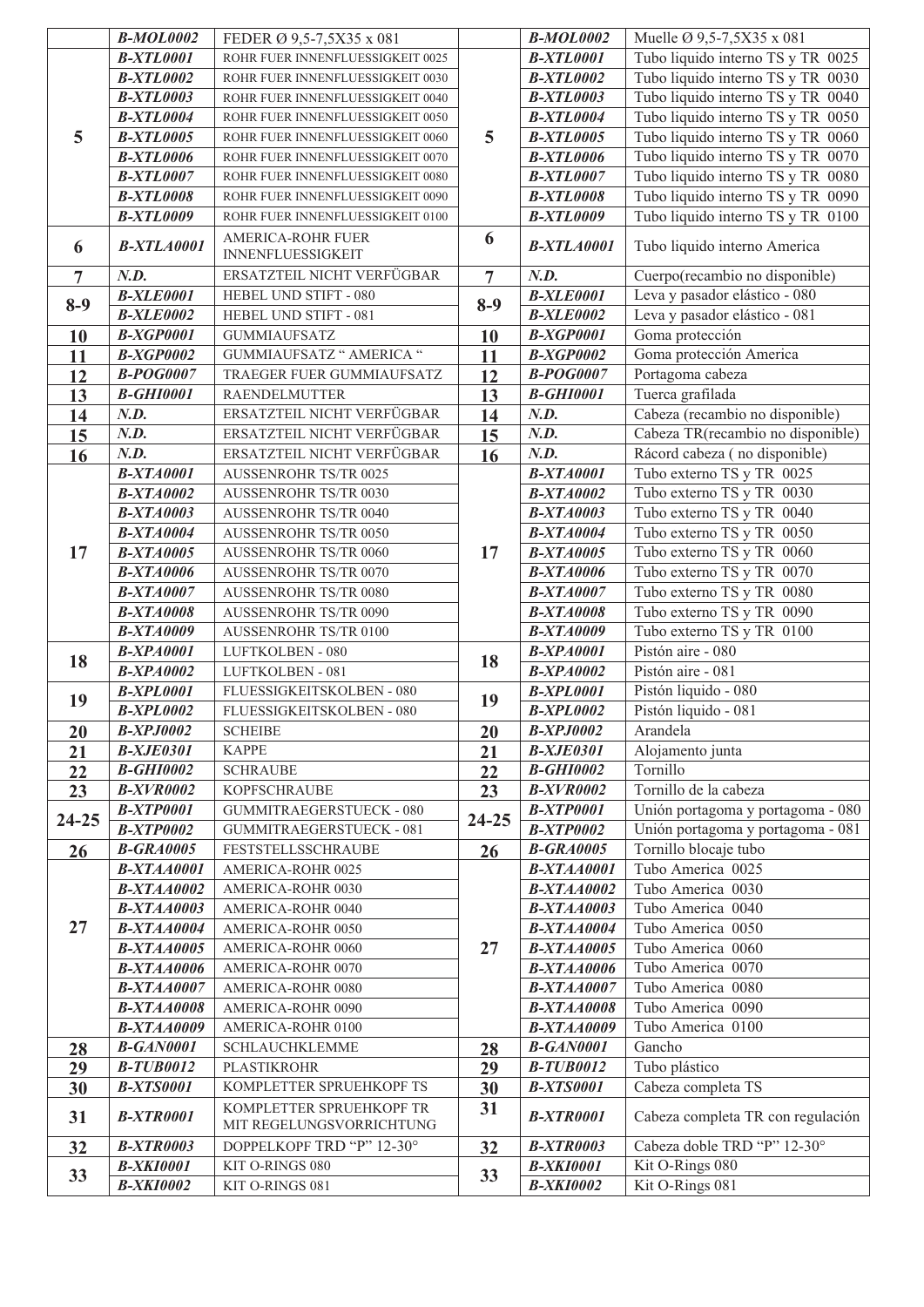|                | <b>B-MOL0002</b>                      | FEDER Ø 9,5-7,5X35 x 081                   |                | <b>B-MOL0002</b>                      | Muelle Ø 9,5-7,5X35 x 081                      |
|----------------|---------------------------------------|--------------------------------------------|----------------|---------------------------------------|------------------------------------------------|
|                | <b>B-XTL0001</b>                      | ROHR FUER INNENFLUESSIGKEIT 0025           | 5              | <b>B-XTL0001</b>                      | Tubo liquido interno TS y TR 0025              |
|                | <b>B-XTL0002</b>                      | ROHR FUER INNENFLUESSIGKEIT 0030           |                | <b>B-XTL0002</b>                      | Tubo liquido interno TS y TR 0030              |
| 5              | <b>B-XTL0003</b>                      | ROHR FUER INNENFLUESSIGKEIT 0040           |                | <b>B-XTL0003</b>                      | Tubo liquido interno TS y TR 0040              |
|                | <b>B-XTL0004</b>                      | ROHR FUER INNENFLUESSIGKEIT 0050           |                | <b>B-XTL0004</b>                      | Tubo liquido interno TS y TR 0050              |
|                | <b>B-XTL0005</b>                      | ROHR FUER INNENFLUESSIGKEIT 0060           |                | <b>B-XTL0005</b>                      | Tubo liquido interno TS y TR 0060              |
|                | <b>B-XTL0006</b>                      | ROHR FUER INNENFLUESSIGKEIT 0070           |                | <b>B-XTL0006</b>                      | Tubo liquido interno TS y TR 0070              |
|                | <b>B-XTL0007</b>                      | ROHR FUER INNENFLUESSIGKEIT 0080           |                | <b>B-XTL0007</b>                      | Tubo liquido interno TS y TR 0080              |
|                | <b>B-XTL0008</b>                      | ROHR FUER INNENFLUESSIGKEIT 0090           |                | <b>B-XTL0008</b>                      | Tubo liquido interno TS y TR 0090              |
|                | <b>B-XTL0009</b>                      | ROHR FUER INNENFLUESSIGKEIT 0100           |                | <b>B-XTL0009</b>                      | Tubo liquido interno TS y TR 0100              |
| 6              | <b>B-XTLA0001</b>                     | AMERICA-ROHR FUER<br>INNENFLUESSIGKEIT     | 6              | <b>B-XTLA0001</b>                     | Tubo liquido interno America                   |
| $\overline{7}$ | N.D.                                  | ERSATZTEIL NICHT VERFÜGBAR                 | $\overline{7}$ | N.D.                                  | Cuerpo(recambio no disponible)                 |
|                | <b>B-XLE0001</b>                      | HEBEL UND STIFT - 080                      |                | <b>B-XLE0001</b>                      | Leva y pasador elástico - 080                  |
| $8-9$          | <b>B-XLE0002</b>                      | HEBEL UND STIFT - 081                      | $8-9$          | <b>B-XLE0002</b>                      | Leva y pasador elástico - 081                  |
| 10             | <b>B-XGP0001</b>                      | <b>GUMMIAUFSATZ</b>                        | 10             | <b>B-XGP0001</b>                      | Goma protección                                |
| 11             | <b>B-XGP0002</b>                      | GUMMIAUFSATZ " AMERICA "                   | 11             | <b>B-XGP0002</b>                      | Goma protección America                        |
| 12             | <b>B-POG0007</b>                      | TRAEGER FUER GUMMIAUFSATZ                  | 12             | <b>B-POG0007</b>                      | Portagoma cabeza                               |
| 13             | <b>B-GHI0001</b>                      | RAENDELMUTTER                              | 13             | <b>B-GHI0001</b>                      | Tuerca grafilada                               |
| 14             | N.D.                                  | ERSATZTEIL NICHT VERFÜGBAR                 | 14             | N.D.                                  | Cabeza (recambio no disponible)                |
| 15             | N.D.                                  | ERSATZTEIL NICHT VERFÜGBAR                 | 15             | N.D.                                  | Cabeza TR(recambio no disponible)              |
| 16             | N.D.                                  | ERSATZTEIL NICHT VERFÜGBAR                 | 16             | N.D.                                  | Rácord cabeza (no disponible)                  |
|                | <b>B-XTA0001</b>                      | AUSSENROHR TS/TR 0025                      |                | <b>B-XTA0001</b>                      | Tubo externo TS y TR 0025                      |
|                | <b>B-XTA0002</b>                      | AUSSENROHR TS/TR 0030                      |                | <b>B-XTA0002</b>                      | Tubo externo TS y TR 0030                      |
|                | <b>B-XTA0003</b>                      | AUSSENROHR TS/TR 0040                      |                | <b>B-XTA0003</b>                      | Tubo externo TS y TR 0040                      |
|                | <b>B-XTA0004</b>                      | AUSSENROHR TS/TR 0050                      |                | <b>B-XTA0004</b>                      | Tubo externo TS y TR 0050                      |
| 17             | <b>B-XTA0005</b>                      | AUSSENROHR TS/TR 0060                      | 17             | <b>B-XTA0005</b>                      | Tubo externo TS y TR 0060                      |
|                | <b>B-XTA0006</b>                      | AUSSENROHR TS/TR 0070                      |                | <b>B-XTA0006</b>                      | Tubo externo TS y TR 0070                      |
|                | <b>B-XTA0007</b>                      | AUSSENROHR TS/TR 0080                      |                | <b>B-XTA0007</b>                      | Tubo externo TS y TR 0080                      |
|                | <b>B-XTA0008</b>                      | AUSSENROHR TS/TR 0090                      |                | <b>B-XTA0008</b>                      | Tubo externo TS y TR 0090                      |
|                | <b>B-XTA0009</b>                      | AUSSENROHR TS/TR 0100                      |                | <b>B-XTA0009</b>                      | Tubo externo TS y TR 0100                      |
| 18             | <b>B-XPA0001</b>                      | LUFTKOLBEN - 080                           | 18             | <b>B-XPA0001</b>                      | Pistón aire - 080                              |
|                | <b>B-XPA0002</b>                      | LUFTKOLBEN - 081                           |                | <b>B-XPA0002</b>                      | Pistón aire - 081                              |
| 19             | <b>B-XPL0001</b>                      | FLUESSIGKEITSKOLBEN - 080                  | 19             | <b>B-XPL0001</b>                      | Pistón liquido - 080                           |
|                | <b>B-XPL0002</b>                      | FLUESSIGKEITSKOLBEN - 080                  |                | <b>B-XPL0002</b>                      | Pistón liquido - 081                           |
| 20             | <b>B-XPJ0002</b>                      | <b>SCHEIBE</b>                             | 20             | <b>B-XPJ0002</b>                      | Arandela                                       |
| 21             | <b>B-XJE0301</b>                      | <b>KAPPE</b>                               | 21             | <b>B-XJE0301</b>                      | Alojamento junta                               |
| 22             | <b>B-GHI0002</b>                      | <b>SCHRAUBE</b>                            | 22             | <b>B-GHI0002</b>                      | Tornillo                                       |
| 23             | <b>B-XVR0002</b>                      | <b>KOPFSCHRAUBE</b>                        | 23             | <b>B-XVR0002</b>                      | Tornillo de la cabeza                          |
| $24 - 25$      | <b>B-XTP0001</b>                      | <b>GUMMITRAEGERSTUECK - 080</b>            | $24 - 25$      | <b>B-XTP0001</b>                      | Unión portagoma y portagoma - 080              |
|                | <b>B-XTP0002</b>                      | GUMMITRAEGERSTUECK - 081                   |                | <b>B-XTP0002</b>                      | Unión portagoma y portagoma - 081              |
| 26             | <b>B-GRA0005</b>                      | FESTSTELLSSCHRAUBE                         | 26             | <b>B-GRA0005</b>                      | Tornillo blocaje tubo                          |
|                | <b>B-XTAA0001</b>                     | AMERICA-ROHR 0025                          | 27             | <b>B-XTAA0001</b>                     | Tubo America 0025                              |
|                | <b>B-XTAA0002</b>                     | AMERICA-ROHR 0030                          |                | <b>B-XTAA0002</b>                     | Tubo America 0030                              |
|                | <b>B-XTAA0003</b>                     | AMERICA-ROHR 0040                          |                | <b>B-XTAA0003</b>                     | Tubo America 0040                              |
| 27             | <b>B-XTAA0004</b>                     | AMERICA-ROHR 0050                          |                | <b>B-XTAA0004</b>                     | Tubo America 0050                              |
|                | <b>B-XTAA0005</b>                     | AMERICA-ROHR 0060                          |                | <b>B-XTAA0005</b>                     | Tubo America 0060                              |
|                | <b>B-XTAA0006</b>                     | AMERICA-ROHR 0070                          |                | <b>B-XTAA0006</b>                     | Tubo America 0070                              |
|                | <b>B-XTAA0007</b>                     | AMERICA-ROHR 0080                          |                | <b>B-XTAA0007</b>                     | Tubo America 0080                              |
|                | <b>B-XTAA0008</b>                     | AMERICA-ROHR 0090                          |                | <b>B-XTAA0008</b>                     | Tubo America 0090                              |
|                | <b>B-XTAA0009</b><br><b>B-GAN0001</b> | AMERICA-ROHR 0100<br><b>SCHLAUCHKLEMME</b> |                | <b>B-XTAA0009</b><br><b>B-GAN0001</b> | Tubo America 0100<br>Gancho                    |
| 28<br>29       | <b>B-TUB0012</b>                      | <b>PLASTIKROHR</b>                         | 28<br>29       | <b>B-TUB0012</b>                      | Tubo plástico                                  |
| 30             | <b>B-XTS0001</b>                      | KOMPLETTER SPRUEHKOPF TS                   | 30             | <b>B-XTS0001</b>                      | Cabeza completa TS                             |
|                |                                       | KOMPLETTER SPRUEHKOPF TR                   | 31             |                                       |                                                |
| 31             | <b>B-XTR0001</b>                      | MIT REGELUNGSVORRICHTUNG                   |                | <b>B-XTR0001</b>                      | Cabeza completa TR con regulación              |
| 32             | <b>B-XTR0003</b>                      | DOPPELKOPF TRD "P" 12-30°                  | 32             | <b>B-XTR0003</b>                      | Cabeza doble TRD "P" 12-30°<br>Kit O-Rings 080 |
| 33             | <b>B-XKI0001</b>                      | KIT O-RINGS 080                            | 33             | <b>B-XKI0001</b>                      | Kit O-Rings 081                                |
|                | <b>B-XKI0002</b>                      | KIT O-RINGS 081                            |                | <b>B-XKI0002</b>                      |                                                |